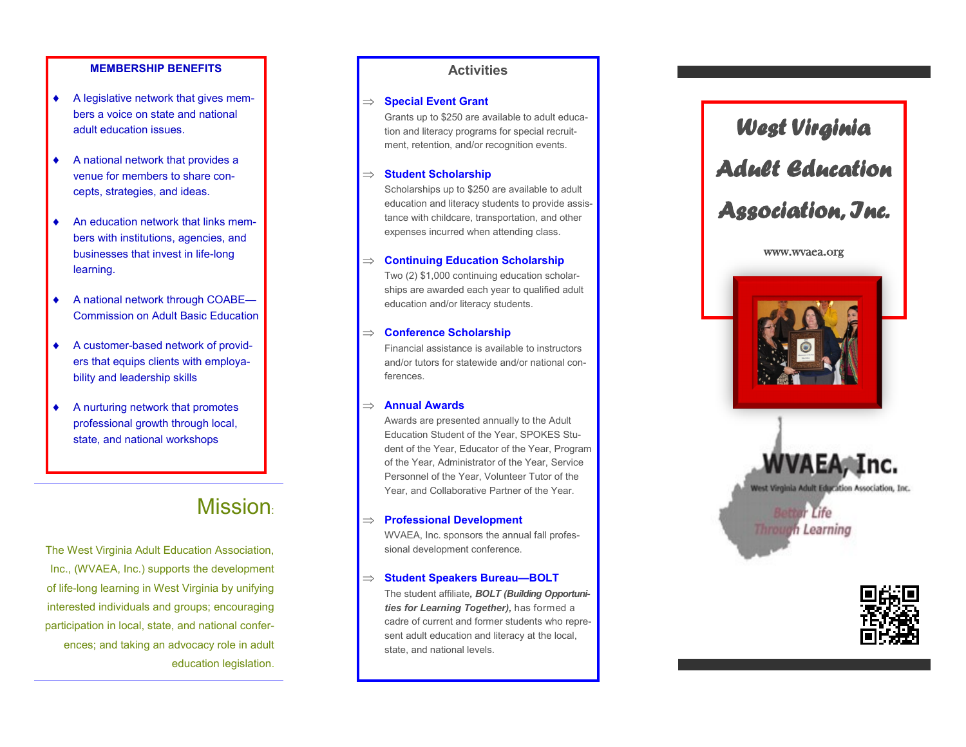#### **MEMBERSHIP BENEFITS**

- A legislative network that gives members a voice on state and national adult education issues.
- A national network that provides a venue for members to share concepts, strategies, and ideas.
- An education network that links members with institutions, agencies, and businesses that invest in life -long learning.
- ◆ A national network through COABE-Commission on Adult Basic Education
- A customer -based network of providers that equips clients with employability and leadership skills
- A nurturing network that promotes professional growth through local, state, and national workshops

## **Mission:**

The West Virginia Adult Education Association, Inc., (WVAEA, Inc.) supports the development of life -long learning in West Virginia by unifying interested individuals and groups; encouraging participation in local, state, and national conferences; and taking an advocacy role in adult education legislation.

#### **Activities**

#### $\Rightarrow$  **Special Event Grant**

Grants up to \$250 are available to adult education and literacy programs for special recruitment, retention, and/or recognition events.

#### $\Rightarrow$  **Student Scholarship**

Scholarships up to \$250 are available to adult education and literacy students to provide assistance with childcare, transportation, and other expenses incurred when attending class.

#### **Continuing Education Scholarship**

Two (2) \$1,000 continuing education scholarships are awarded each year to qualified adult education and/or literacy students.

#### **Conference Scholarship**

Financial assistance is available to instructors and/or tutors for statewide and/or national conferences.

#### **Annual Awards**

Awards are presented annually to the Adult Education Student of the Year, SPOKES Student of the Year, Educator of the Year, Program of the Year, Administrator of the Year, Service Personnel of the Year, Volunteer Tutor of the Year, and Collaborative Partner of the Year.

#### **Professional Development**

WVAEA, Inc. sponsors the annual fall professional development conference.

#### $\Rightarrow$  **Student Speakers Bureau–BOLT**

The student affiliate*, BOLT (Building Opportunities for Learning Together),* has formed a cadre of current and former students who represent adult education and literacy at the local, state, and national levels.

# *West Virginia Adult Education*

## *Association, Inc.*

#### www.wvaea.org